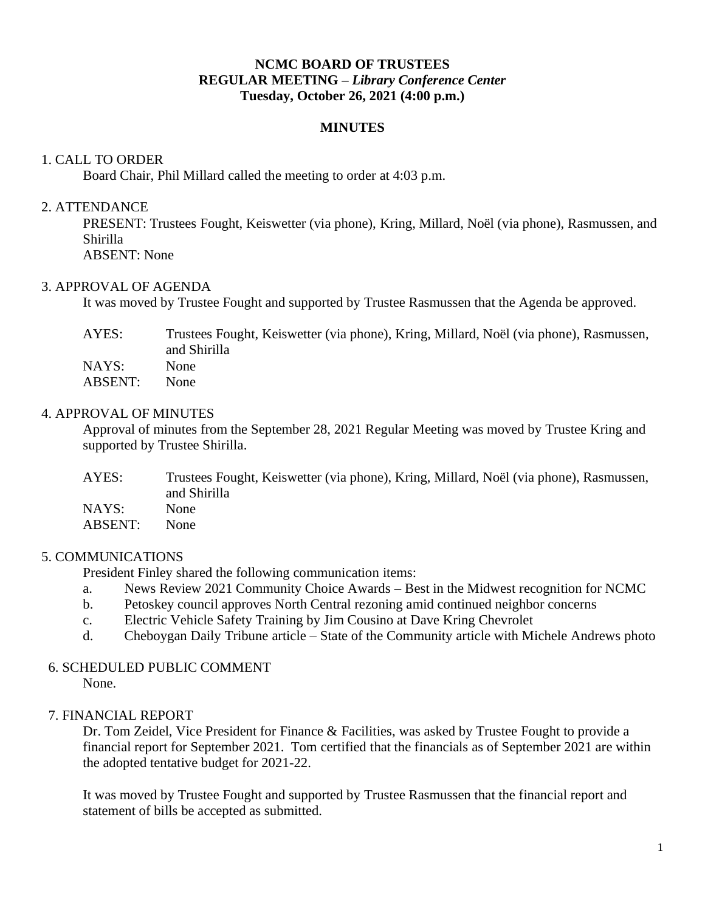# **NCMC BOARD OF TRUSTEES REGULAR MEETING –** *Library Conference Center* **Tuesday, October 26, 2021 (4:00 p.m.)**

# **MINUTES**

## 1. CALL TO ORDER

Board Chair, Phil Millard called the meeting to order at 4:03 p.m.

## 2. ATTENDANCE

PRESENT: Trustees Fought, Keiswetter (via phone), Kring, Millard, Noël (via phone), Rasmussen, and Shirilla ABSENT: None

### 3. APPROVAL OF AGENDA

It was moved by Trustee Fought and supported by Trustee Rasmussen that the Agenda be approved.

| AYES:          | Trustees Fought, Keiswetter (via phone), Kring, Millard, Noël (via phone), Rasmussen,<br>and Shirilla |
|----------------|-------------------------------------------------------------------------------------------------------|
| NAYS:          | <b>None</b>                                                                                           |
| <b>ABSENT:</b> | None.                                                                                                 |

# 4. APPROVAL OF MINUTES

Approval of minutes from the September 28, 2021 Regular Meeting was moved by Trustee Kring and supported by Trustee Shirilla.

| AYES:          | Trustees Fought, Keiswetter (via phone), Kring, Millard, Noël (via phone), Rasmussen,<br>and Shirilla |
|----------------|-------------------------------------------------------------------------------------------------------|
| NAYS:          | None                                                                                                  |
| <b>ABSENT:</b> | None.                                                                                                 |

# 5. COMMUNICATIONS

President Finley shared the following communication items:

- a. News Review 2021 Community Choice Awards Best in the Midwest recognition for NCMC
- b. Petoskey council approves North Central rezoning amid continued neighbor concerns
- c. Electric Vehicle Safety Training by Jim Cousino at Dave Kring Chevrolet
- d. Cheboygan Daily Tribune article State of the Community article with Michele Andrews photo

#### 6. SCHEDULED PUBLIC COMMENT None.

# 7. FINANCIAL REPORT

Dr. Tom Zeidel, Vice President for Finance & Facilities, was asked by Trustee Fought to provide a financial report for September 2021. Tom certified that the financials as of September 2021 are within the adopted tentative budget for 2021-22.

It was moved by Trustee Fought and supported by Trustee Rasmussen that the financial report and statement of bills be accepted as submitted.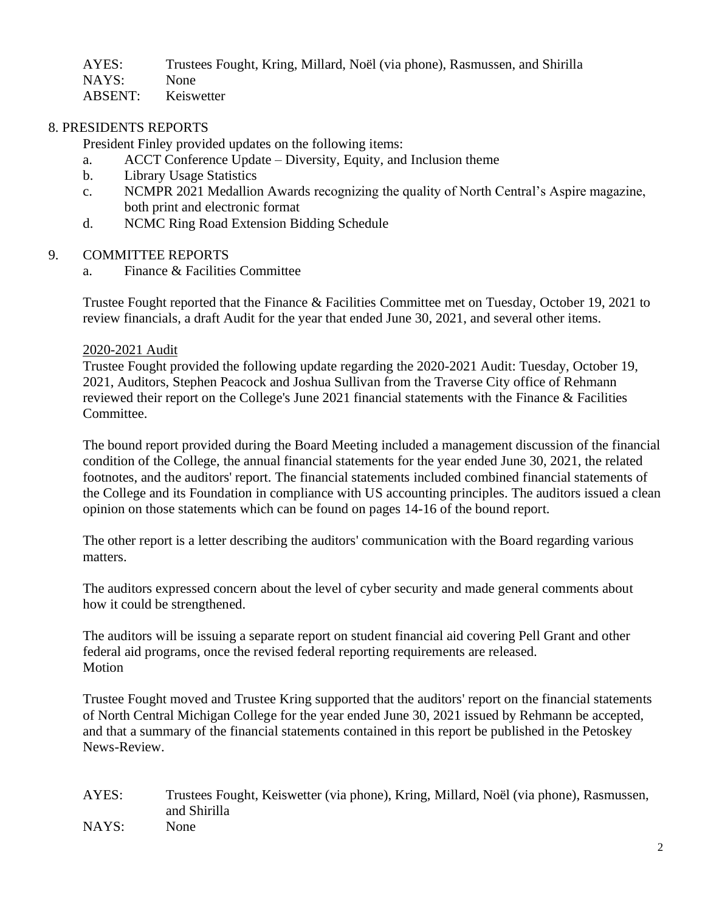| AYES:   | Trustees Fought, Kring, Millard, Noël (via phone), Rasmussen, and Shirilla |
|---------|----------------------------------------------------------------------------|
| NAYS: . | <b>None</b>                                                                |
| ABSENT: | Keiswetter                                                                 |

# 8. PRESIDENTS REPORTS

President Finley provided updates on the following items:

- a. ACCT Conference Update Diversity, Equity, and Inclusion theme
- b. Library Usage Statistics
- c. NCMPR 2021 Medallion Awards recognizing the quality of North Central's Aspire magazine, both print and electronic format
- d. NCMC Ring Road Extension Bidding Schedule

# 9. COMMITTEE REPORTS

a. Finance & Facilities Committee

Trustee Fought reported that the Finance & Facilities Committee met on Tuesday, October 19, 2021 to review financials, a draft Audit for the year that ended June 30, 2021, and several other items.

# 2020-2021 Audit

Trustee Fought provided the following update regarding the 2020-2021 Audit: Tuesday, October 19, 2021, Auditors, Stephen Peacock and Joshua Sullivan from the Traverse City office of Rehmann reviewed their report on the College's June 2021 financial statements with the Finance & Facilities Committee.

The bound report provided during the Board Meeting included a management discussion of the financial condition of the College, the annual financial statements for the year ended June 30, 2021, the related footnotes, and the auditors' report. The financial statements included combined financial statements of the College and its Foundation in compliance with US accounting principles. The auditors issued a clean opinion on those statements which can be found on pages 14-16 of the bound report.

The other report is a letter describing the auditors' communication with the Board regarding various matters.

The auditors expressed concern about the level of cyber security and made general comments about how it could be strengthened.

The auditors will be issuing a separate report on student financial aid covering Pell Grant and other federal aid programs, once the revised federal reporting requirements are released. Motion

Trustee Fought moved and Trustee Kring supported that the auditors' report on the financial statements of North Central Michigan College for the year ended June 30, 2021 issued by Rehmann be accepted, and that a summary of the financial statements contained in this report be published in the Petoskey News-Review.

AYES: Trustees Fought, Keiswetter (via phone), Kring, Millard, Noël (via phone), Rasmussen, and Shirilla NAYS: None